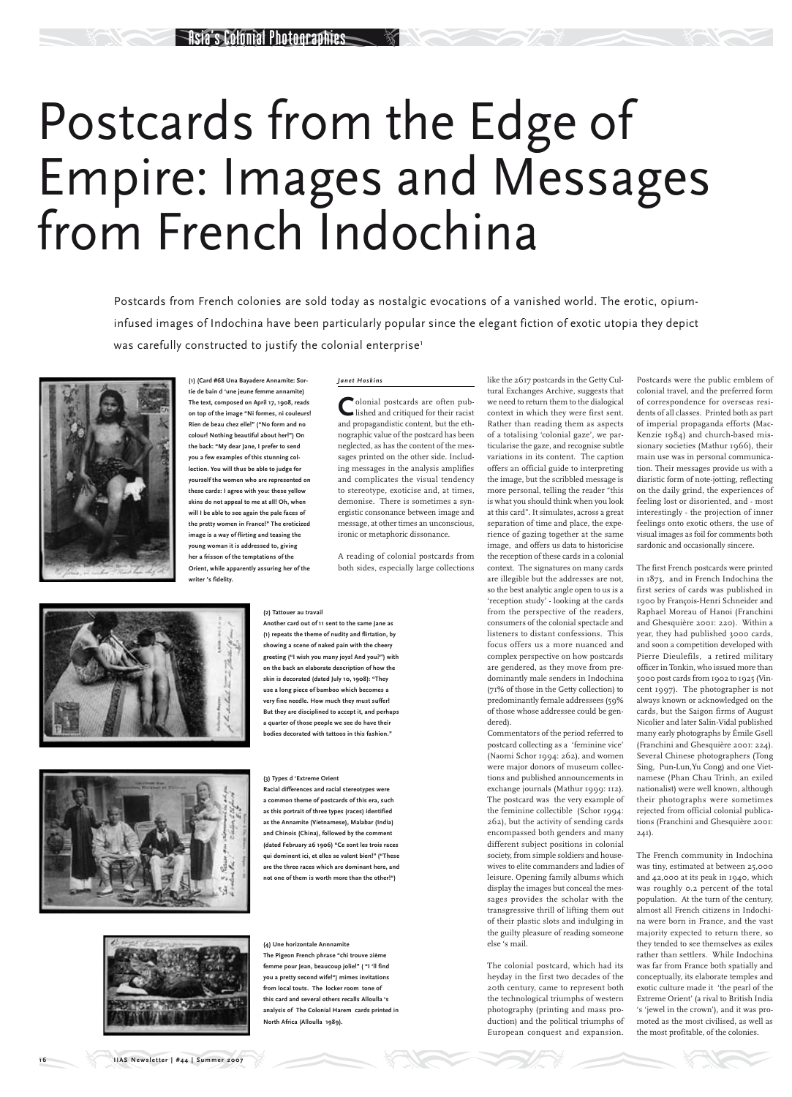#### *Janet Hoskins*

Colonial postcards are often pub-<br>lished and critiqued for their racist and propagandistic content, but the ethnographic value of the postcard has been neglected, as has the content of the messages printed on the other side. Including messages in the analysis amplifies and complicates the visual tendency to stereotype, exoticise and, at times, demonise. There is sometimes a synergistic consonance between image and message, at other times an unconscious, ironic or metaphoric dissonance.

A reading of colonial postcards from both sides, especially large collections

like the 2617 postcards in the Getty Cultural Exchanges Archive, suggests that we need to return them to the dialogical context in which they were first sent. Rather than reading them as aspects of a totalising 'colonial gaze', we particularise the gaze, and recognise subtle variations in its content. The caption offers an official guide to interpreting the image, but the scribbled message is more personal, telling the reader "this is what you should think when you look at this card". It simulates, across a great separation of time and place, the experience of gazing together at the same image, and offers us data to historicise the reception of these cards in a colonial context. The signatures on many cards are illegible but the addresses are not, so the best analytic angle open to us is a 'reception study' - looking at the cards from the perspective of the readers, consumers of the colonial spectacle and listeners to distant confessions. This focus offers us a more nuanced and complex perspective on how postcards are gendered, as they move from predominantly male senders in Indochina (71% of those in the Getty collection) to predominantly female addressees (59% of those whose addressee could be gendered).

Postcards from French colonies are sold today as nostalgic evocations of a vanished world. The erotic, opiuminfused images of Indochina have been particularly popular since the elegant fiction of exotic utopia they depict was carefully constructed to justify the colonial enterprise<sup>1</sup>



Commentators of the period referred to postcard collecting as a 'feminine vice' (Naomi Schor 1994: 262), and women were major donors of museum collections and published announcements in exchange journals (Mathur 1999: 112). The postcard was the very example of the feminine collectible (Schor 1994: 262), but the activity of sending cards encompassed both genders and many different subject positions in colonial society, from simple soldiers and housewives to elite commanders and ladies of leisure. Opening family albums which display the images but conceal the messages provides the scholar with the transgressive thrill of lifting them out of their plastic slots and indulging in the guilty pleasure of reading someone else 's mail.

The colonial postcard, which had its heyday in the first two decades of the 20th century, came to represent both the technological triumphs of western photography (printing and mass production) and the political triumphs of European conquest and expansion.

# Postcards from the Edge of Empire: Images and Messages from French Indochina

**(1) (Card #68 Una Bayadere Annamite: Sortie de bain d 'une jeune femme annamite) The text, composed on April 17, 1908, reads on top of the image "Ni formes, ni couleurs! Rien de beau chez elle!" ("No form and no colour! Nothing beautiful about her!") On the back: "My dear Jane, I prefer to send you a few examples of this stunning collection. You will thus be able to judge for yourself the women who are represented on these cards: I agree with you: these yellow skins do not appeal to me at all! Oh, when will I be able to see again the pale faces of the pretty women in France!" The eroticized image is a way of flirting and teasing the young woman it is addressed to, giving her a frisson of the temptations of the Orient, while apparently assuring her of the writer 's fidelity.** 

### **(2) Tattouer au travail**

**Another card out of 11 sent to the same Jane as (1) repeats the theme of nudity and flirtation, by showing a scene of naked pain with the cheery greeting ("I wish you many joys! And you?") with on the back an elaborate description of how the skin is decorated (dated July 10, 1908): "They use a long piece of bamboo which becomes a very fine needle. How much they must suffer! But they are disciplined to accept it, and perhaps a quarter of those people we see do have their bodies decorated with tattoos in this fashion."** 

#### **(3) Types d 'Extreme Orient**

**Racial differences and racial stereotypes were a common theme of postcards of this era, such as this portrait of three types (races) identified as the Annamite (Vietnamese), Malabar (India) and Chinois (China), followed by the comment (dated February 26 1906) "Ce sont les trois races qui dominent ici, et elles se valent bien!" ("These are the three races which are dominant here, and not one of them is worth more than the other!")**

**(4) Une horizontale Annnamite The Pigeon French phrase "chi trouve 2ième femme pour Jean, beaucoup jolie!" ( "I 'll find you a pretty second wife!") mimes invitations from local touts. The locker room tone of this card and several others recalls Alloulla 's analysis of The Colonial Harem cards printed in North Africa (Alloulla 1989).** 

Postcards were the public emblem of colonial travel, and the preferred form of correspondence for overseas residents of all classes. Printed both as part of imperial propaganda efforts (Mac-Kenzie 1984) and church-based missionary societies (Mathur 1966), their main use was in personal communication. Their messages provide us with a diaristic form of note-jotting, reflecting on the daily grind, the experiences of feeling lost or disoriented, and - most interestingly - the projection of inner feelings onto exotic others, the use of visual images as foil for comments both sardonic and occasionally sincere.

The first French postcards were printed in 1873, and in French Indochina the first series of cards was published in 1900 by François-Henri Schneider and Raphael Moreau of Hanoi (Franchini and Ghesquière 2001: 220). Within a year, they had published 3000 cards, and soon a competition developed with Pierre Dieulefils, a retired military officer in Tonkin, who issued more than 5000 post cards from 1902 to 1925 (Vincent 1997). The photographer is not always known or acknowledged on the cards, but the Saigon firms of August Nicolier and later Salin-Vidal published many early photographs by Émile Gsell (Franchini and Ghesquière 2001: 224). Several Chinese photographers (Tong Sing, Pun-Lun,Yu Cong) and one Vietnamese (Phan Chau Trinh, an exiled nationalist) were well known, although their photographs were sometimes rejected from official colonial publications (Franchini and Ghesquière 2001:







241).

The French community in Indochina was tiny, estimated at between 25,000 and 42,000 at its peak in 1940, which was roughly 0.2 percent of the total population. At the turn of the century, almost all French citizens in Indochina were born in France, and the vast majority expected to return there, so they tended to see themselves as exiles rather than settlers. While Indochina was far from France both spatially and conceptually, its elaborate temples and exotic culture made it 'the pearl of the Extreme Orient' (a rival to British India 's 'jewel in the crown'), and it was promoted as the most civilised, as well as the most profitable, of the colonies.